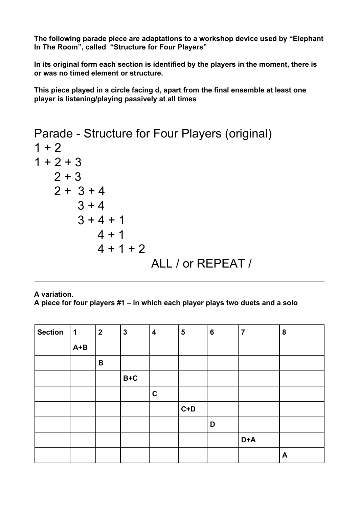**The following parade piece are adaptations to a workshop device used by "Elephant In The Room", called "Structure for Four Players"**

**In its original form each section is identified by the players in the moment, there is or was no timed element or structure.**

**This piece played in a circle facing d, apart from the final ensemble at least one player is listening/playing passively at all times**

```
Parade - Structure for Four Players (original)
1 + 21 + 2 + 32 + 32 + 3 + 43 + 43 + 4 + 14 + 14 + 1 + 2ALL / or REPEAT /
```
**A variation. A piece for four players #1 – in which each player plays two duets and a solo**

| <b>Section</b> | 1       | $\boldsymbol{2}$ | $\mathbf{3}$ | $\overline{\mathbf{4}}$ | 5     | $6\phantom{1}6$ | $\overline{7}$ | $\boldsymbol{8}$ |
|----------------|---------|------------------|--------------|-------------------------|-------|-----------------|----------------|------------------|
|                | $A + B$ |                  |              |                         |       |                 |                |                  |
|                |         | B                |              |                         |       |                 |                |                  |
|                |         |                  | $B+C$        |                         |       |                 |                |                  |
|                |         |                  |              | $\mathbf c$             |       |                 |                |                  |
|                |         |                  |              |                         | $C+D$ |                 |                |                  |
|                |         |                  |              |                         |       | D               |                |                  |
|                |         |                  |              |                         |       |                 | D+A            |                  |
|                |         |                  |              |                         |       |                 |                | $\blacktriangle$ |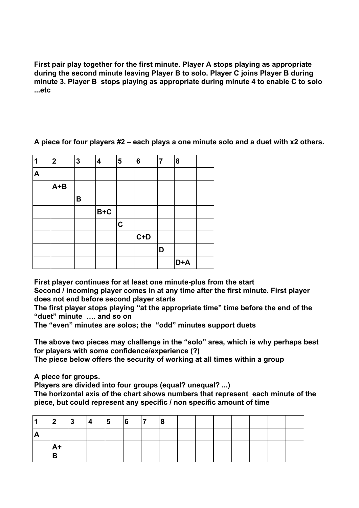**First pair play together for the first minute. Player A stops playing as appropriate during the second minute leaving Player B to solo. Player C joins Player B during minute 3. Player B stops playing as appropriate during minute 4 to enable C to solo ...etc**

| 1                | $\mathbf{2}$ | 3 | $\boldsymbol{4}$ | 5           | 6       | $\overline{7}$ | 8   |  |
|------------------|--------------|---|------------------|-------------|---------|----------------|-----|--|
| $\blacktriangle$ |              |   |                  |             |         |                |     |  |
|                  | $A+B$        |   |                  |             |         |                |     |  |
|                  |              | B |                  |             |         |                |     |  |
|                  |              |   | $B+C$            |             |         |                |     |  |
|                  |              |   |                  | $\mathbf C$ |         |                |     |  |
|                  |              |   |                  |             | $ C+D $ |                |     |  |
|                  |              |   |                  |             |         | D              |     |  |
|                  |              |   |                  |             |         |                | D+A |  |

**A piece for four players #2 – each plays a one minute solo and a duet with x2 others.**

**First player continues for at least one minute-plus from the start**

**Second / incoming player comes in at any time after the first minute. First player does not end before second player starts**

**The first player stops playing "at the appropriate time" time before the end of the "duet" minute …. and so on**

**The "even" minutes are solos; the "odd" minutes support duets**

**The above two pieces may challenge in the "solo" area, which is why perhaps best for players with some confidence/experience (?)**

**The piece below offers the security of working at all times within a group**

**A piece for groups.**

**Players are divided into four groups (equal? unequal? ...)**

**The horizontal axis of the chart shows numbers that represent each minute of the piece, but could represent any specific / non specific amount of time**

| $\blacksquare$ |                    | 3 | $ 4\rangle$ | $\begin{array}{ c c } \hline 5 & \hline 6 \\ \hline \end{array}$ | $\overline{7}$ | 18 |  |  |  |  |
|----------------|--------------------|---|-------------|------------------------------------------------------------------|----------------|----|--|--|--|--|
| <b>A</b>       |                    |   |             |                                                                  |                |    |  |  |  |  |
|                | <sub>A+</sub><br>D |   |             |                                                                  |                |    |  |  |  |  |